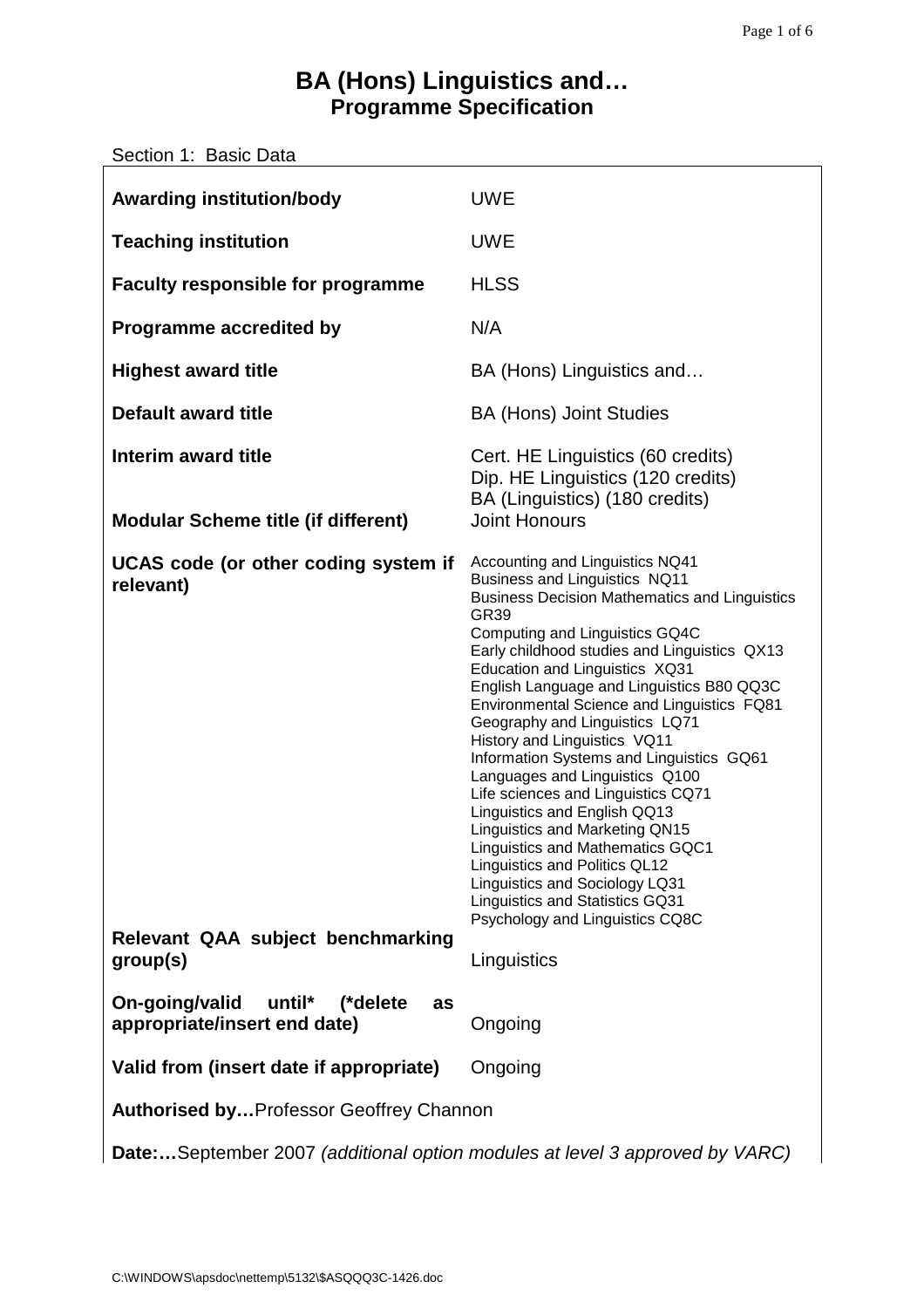# **BA (Hons) Linguistics and… Programme Specification**

| Section 1: Basic Data                                                               |                                                                                                                                                                                                                                                                                                                                                                                                                                                                                                                                                                                                                                                                                                                                                                                                    |  |  |  |
|-------------------------------------------------------------------------------------|----------------------------------------------------------------------------------------------------------------------------------------------------------------------------------------------------------------------------------------------------------------------------------------------------------------------------------------------------------------------------------------------------------------------------------------------------------------------------------------------------------------------------------------------------------------------------------------------------------------------------------------------------------------------------------------------------------------------------------------------------------------------------------------------------|--|--|--|
| <b>Awarding institution/body</b>                                                    | <b>UWE</b>                                                                                                                                                                                                                                                                                                                                                                                                                                                                                                                                                                                                                                                                                                                                                                                         |  |  |  |
| <b>Teaching institution</b>                                                         | <b>UWE</b>                                                                                                                                                                                                                                                                                                                                                                                                                                                                                                                                                                                                                                                                                                                                                                                         |  |  |  |
| <b>Faculty responsible for programme</b>                                            | <b>HLSS</b>                                                                                                                                                                                                                                                                                                                                                                                                                                                                                                                                                                                                                                                                                                                                                                                        |  |  |  |
| <b>Programme accredited by</b>                                                      | N/A                                                                                                                                                                                                                                                                                                                                                                                                                                                                                                                                                                                                                                                                                                                                                                                                |  |  |  |
| <b>Highest award title</b>                                                          | BA (Hons) Linguistics and                                                                                                                                                                                                                                                                                                                                                                                                                                                                                                                                                                                                                                                                                                                                                                          |  |  |  |
| <b>Default award title</b>                                                          | <b>BA (Hons) Joint Studies</b>                                                                                                                                                                                                                                                                                                                                                                                                                                                                                                                                                                                                                                                                                                                                                                     |  |  |  |
| Interim award title                                                                 | Cert. HE Linguistics (60 credits)<br>Dip. HE Linguistics (120 credits)<br>BA (Linguistics) (180 credits)                                                                                                                                                                                                                                                                                                                                                                                                                                                                                                                                                                                                                                                                                           |  |  |  |
| <b>Modular Scheme title (if different)</b>                                          | <b>Joint Honours</b>                                                                                                                                                                                                                                                                                                                                                                                                                                                                                                                                                                                                                                                                                                                                                                               |  |  |  |
| UCAS code (or other coding system if<br>relevant)                                   | Accounting and Linguistics NQ41<br>Business and Linguistics NQ11<br><b>Business Decision Mathematics and Linguistics</b><br><b>GR39</b><br>Computing and Linguistics GQ4C<br>Early childhood studies and Linguistics QX13<br>Education and Linguistics XQ31<br>English Language and Linguistics B80 QQ3C<br>Environmental Science and Linguistics FQ81<br>Geography and Linguistics LQ71<br>History and Linguistics VQ11<br>Information Systems and Linguistics GQ61<br>Languages and Linguistics Q100<br>Life sciences and Linguistics CQ71<br>Linguistics and English QQ13<br><b>Linguistics and Marketing QN15</b><br>Linguistics and Mathematics GQC1<br>Linguistics and Politics QL12<br>Linguistics and Sociology LQ31<br>Linguistics and Statistics GQ31<br>Psychology and Linguistics CQ8C |  |  |  |
| Relevant QAA subject benchmarking<br>group(s)                                       | Linguistics                                                                                                                                                                                                                                                                                                                                                                                                                                                                                                                                                                                                                                                                                                                                                                                        |  |  |  |
| On-going/valid<br>until*<br>(*delete<br>as<br>appropriate/insert end date)          | Ongoing                                                                                                                                                                                                                                                                                                                                                                                                                                                                                                                                                                                                                                                                                                                                                                                            |  |  |  |
| Valid from (insert date if appropriate)                                             | Ongoing                                                                                                                                                                                                                                                                                                                                                                                                                                                                                                                                                                                                                                                                                                                                                                                            |  |  |  |
| <b>Authorised by Professor Geoffrey Channon</b>                                     |                                                                                                                                                                                                                                                                                                                                                                                                                                                                                                                                                                                                                                                                                                                                                                                                    |  |  |  |
| <b>Date:</b> September 2007 (additional option modules at level 3 approved by VARC) |                                                                                                                                                                                                                                                                                                                                                                                                                                                                                                                                                                                                                                                                                                                                                                                                    |  |  |  |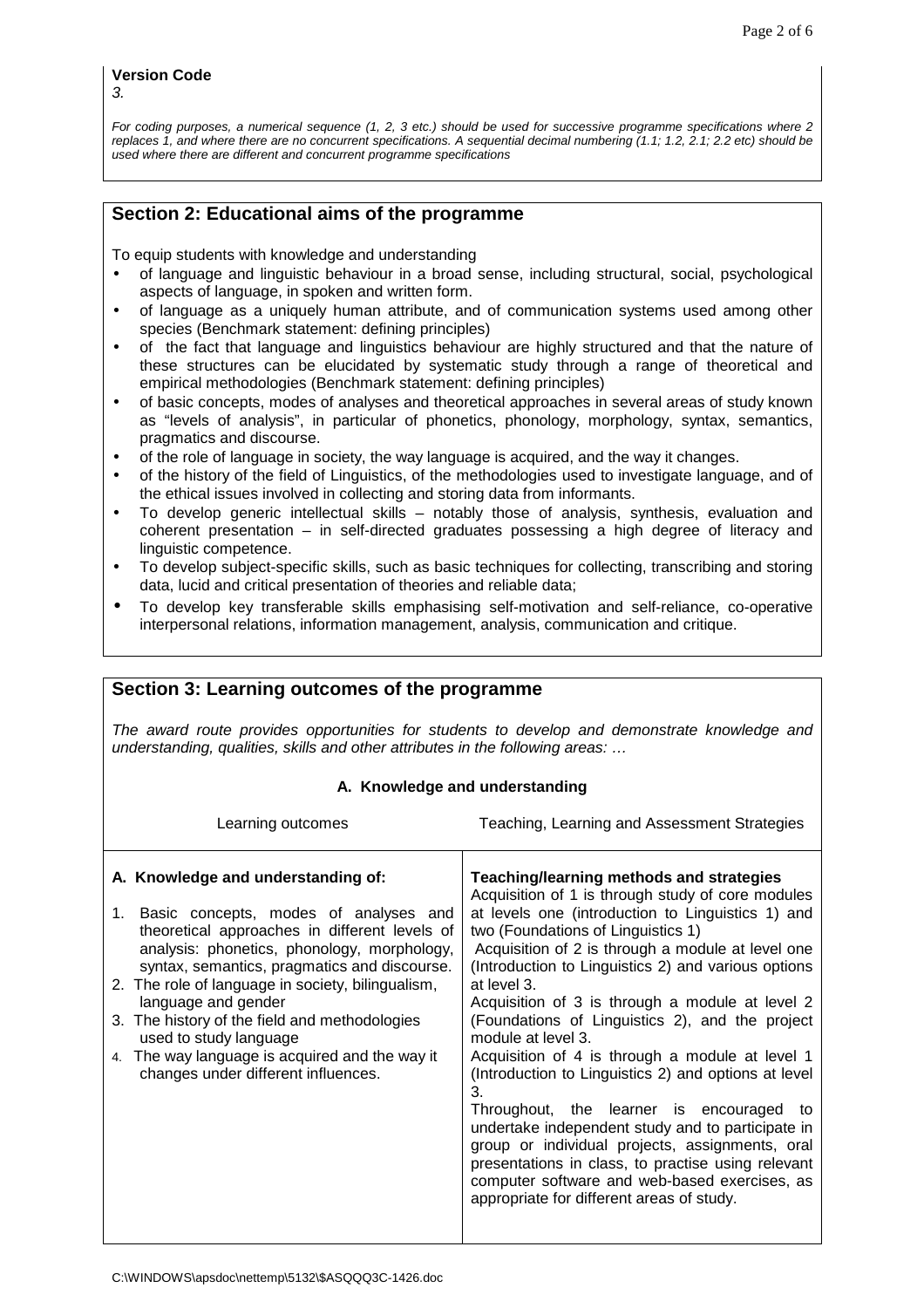For coding purposes, a numerical sequence (1, 2, 3 etc.) should be used for successive programme specifications where 2 replaces 1, and where there are no concurrent specifications. A sequential decimal numbering (1.1; 1.2, 2.1; 2.2 etc) should be used where there are different and concurrent programme specifications

# **Section 2: Educational aims of the programme**

To equip students with knowledge and understanding

- of language and linguistic behaviour in a broad sense, including structural, social, psychological aspects of language, in spoken and written form.
- of language as a uniquely human attribute, and of communication systems used among other species (Benchmark statement: defining principles)
- of the fact that language and linguistics behaviour are highly structured and that the nature of these structures can be elucidated by systematic study through a range of theoretical and empirical methodologies (Benchmark statement: defining principles)
- of basic concepts, modes of analyses and theoretical approaches in several areas of study known as "levels of analysis", in particular of phonetics, phonology, morphology, syntax, semantics, pragmatics and discourse.
- of the role of language in society, the way language is acquired, and the way it changes.
- of the history of the field of Linguistics, of the methodologies used to investigate language, and of the ethical issues involved in collecting and storing data from informants.
- To develop generic intellectual skills notably those of analysis, synthesis, evaluation and coherent presentation – in self-directed graduates possessing a high degree of literacy and linguistic competence.
- To develop subject-specific skills, such as basic techniques for collecting, transcribing and storing data, lucid and critical presentation of theories and reliable data;
- To develop key transferable skills emphasising self-motivation and self-reliance, co-operative interpersonal relations, information management, analysis, communication and critique.

| Section 3: Learning outcomes of the programme                                                                                                                                                                                                                                                                                                                                                                                                                                  |                                                                                                                                                                                                                                                                                                                                                                                                                                                                                                                                                                                                                                                                                                                                                                                                                                                                             |  |  |  |  |
|--------------------------------------------------------------------------------------------------------------------------------------------------------------------------------------------------------------------------------------------------------------------------------------------------------------------------------------------------------------------------------------------------------------------------------------------------------------------------------|-----------------------------------------------------------------------------------------------------------------------------------------------------------------------------------------------------------------------------------------------------------------------------------------------------------------------------------------------------------------------------------------------------------------------------------------------------------------------------------------------------------------------------------------------------------------------------------------------------------------------------------------------------------------------------------------------------------------------------------------------------------------------------------------------------------------------------------------------------------------------------|--|--|--|--|
| The award route provides opportunities for students to develop and demonstrate knowledge and<br>understanding, qualities, skills and other attributes in the following areas:                                                                                                                                                                                                                                                                                                  |                                                                                                                                                                                                                                                                                                                                                                                                                                                                                                                                                                                                                                                                                                                                                                                                                                                                             |  |  |  |  |
| A. Knowledge and understanding                                                                                                                                                                                                                                                                                                                                                                                                                                                 |                                                                                                                                                                                                                                                                                                                                                                                                                                                                                                                                                                                                                                                                                                                                                                                                                                                                             |  |  |  |  |
| Learning outcomes                                                                                                                                                                                                                                                                                                                                                                                                                                                              | Teaching, Learning and Assessment Strategies                                                                                                                                                                                                                                                                                                                                                                                                                                                                                                                                                                                                                                                                                                                                                                                                                                |  |  |  |  |
| A. Knowledge and understanding of:<br>1. Basic concepts, modes of analyses and<br>theoretical approaches in different levels of<br>analysis: phonetics, phonology, morphology,<br>syntax, semantics, pragmatics and discourse.<br>2. The role of language in society, bilingualism,<br>language and gender<br>3. The history of the field and methodologies<br>used to study language<br>4. The way language is acquired and the way it<br>changes under different influences. | Teaching/learning methods and strategies<br>Acquisition of 1 is through study of core modules<br>at levels one (introduction to Linguistics 1) and<br>two (Foundations of Linguistics 1)<br>Acquisition of 2 is through a module at level one<br>(Introduction to Linguistics 2) and various options<br>at level 3.<br>Acquisition of 3 is through a module at level 2<br>(Foundations of Linguistics 2), and the project<br>module at level 3.<br>Acquisition of 4 is through a module at level 1<br>(Introduction to Linguistics 2) and options at level<br>3.<br>Throughout, the learner is encouraged<br>to<br>undertake independent study and to participate in<br>group or individual projects, assignments, oral<br>presentations in class, to practise using relevant<br>computer software and web-based exercises, as<br>appropriate for different areas of study. |  |  |  |  |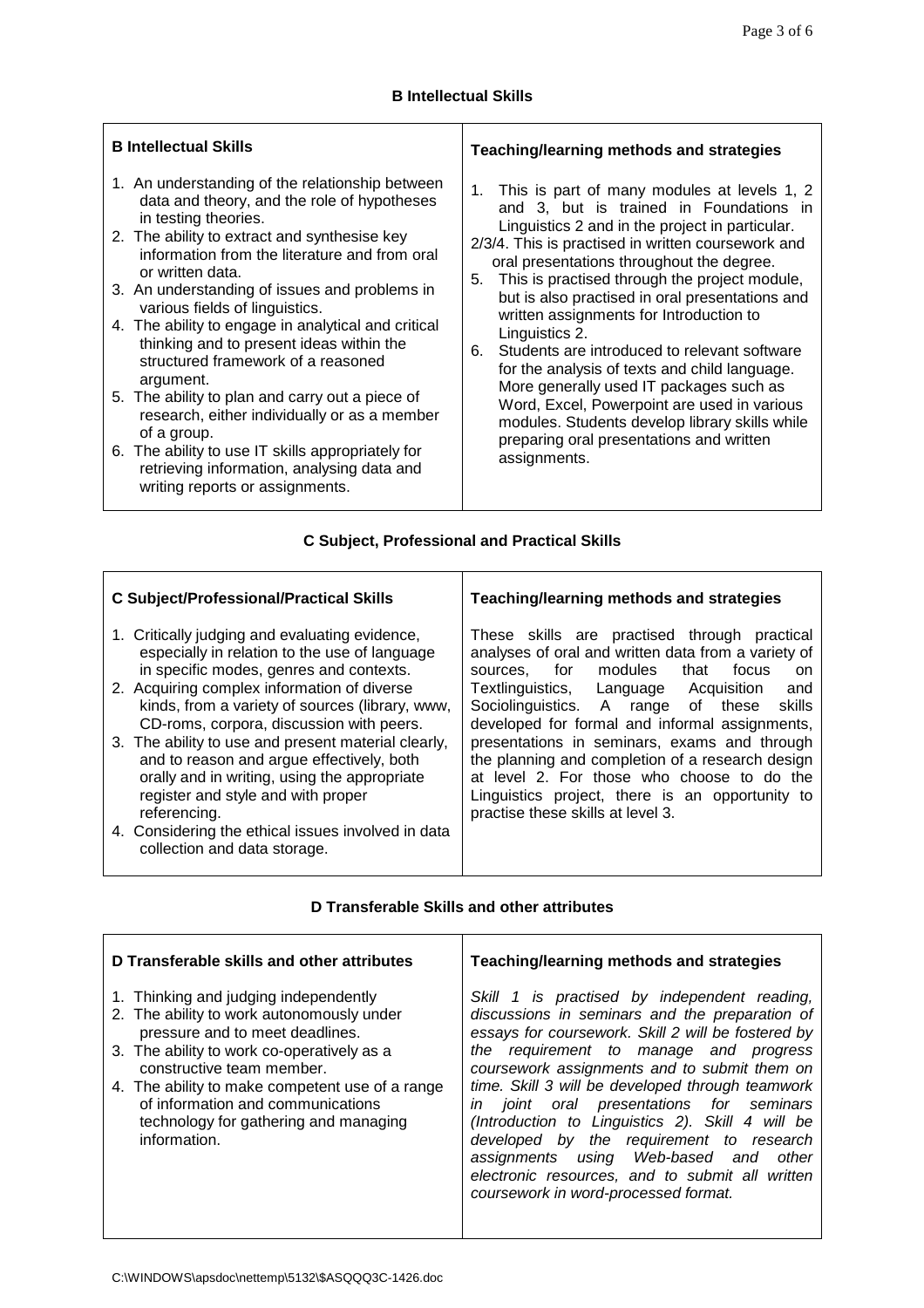┑

| <b>B</b> Intellectual Skills                                                                                                                                                                                                                                                                                                                                                                                                                                                                                                                                                                                                                                                                                                                 | Teaching/learning methods and strategies                                                                                                                                                                                                                                                                                                                                                                                                                                                                                                                                                                                                                                                                                                 |  |
|----------------------------------------------------------------------------------------------------------------------------------------------------------------------------------------------------------------------------------------------------------------------------------------------------------------------------------------------------------------------------------------------------------------------------------------------------------------------------------------------------------------------------------------------------------------------------------------------------------------------------------------------------------------------------------------------------------------------------------------------|------------------------------------------------------------------------------------------------------------------------------------------------------------------------------------------------------------------------------------------------------------------------------------------------------------------------------------------------------------------------------------------------------------------------------------------------------------------------------------------------------------------------------------------------------------------------------------------------------------------------------------------------------------------------------------------------------------------------------------------|--|
| 1. An understanding of the relationship between<br>data and theory, and the role of hypotheses<br>in testing theories.<br>2. The ability to extract and synthesise key<br>information from the literature and from oral<br>or written data.<br>3. An understanding of issues and problems in<br>various fields of linguistics.<br>4. The ability to engage in analytical and critical<br>thinking and to present ideas within the<br>structured framework of a reasoned<br>argument.<br>5. The ability to plan and carry out a piece of<br>research, either individually or as a member<br>of a group.<br>6. The ability to use IT skills appropriately for<br>retrieving information, analysing data and<br>writing reports or assignments. | This is part of many modules at levels 1, 2<br>1.<br>and 3, but is trained in Foundations in<br>Linguistics 2 and in the project in particular.<br>2/3/4. This is practised in written coursework and<br>oral presentations throughout the degree.<br>This is practised through the project module,<br>5.<br>but is also practised in oral presentations and<br>written assignments for Introduction to<br>Linguistics 2.<br>Students are introduced to relevant software<br>6.<br>for the analysis of texts and child language.<br>More generally used IT packages such as<br>Word, Excel, Powerpoint are used in various<br>modules. Students develop library skills while<br>preparing oral presentations and written<br>assignments. |  |

# **C Subject, Professional and Practical Skills**

| <b>C Subject/Professional/Practical Skills</b>                                                                                                                                                         | Teaching/learning methods and strategies                                                                                                                                                                                               |  |
|--------------------------------------------------------------------------------------------------------------------------------------------------------------------------------------------------------|----------------------------------------------------------------------------------------------------------------------------------------------------------------------------------------------------------------------------------------|--|
| 1. Critically judging and evaluating evidence,<br>especially in relation to the use of language<br>in specific modes, genres and contexts.<br>2. Acquiring complex information of diverse              | These skills are practised through<br>practical<br>analyses of oral and written data from a variety of<br>sources, for modules<br>focus<br>that<br><sub>on</sub><br>Textlinguistics, Language<br>Acquisition<br>and                    |  |
| kinds, from a variety of sources (library, www,<br>CD-roms, corpora, discussion with peers.                                                                                                            | Sociolinguistics. A range of these<br>skills<br>developed for formal and informal assignments,                                                                                                                                         |  |
| 3. The ability to use and present material clearly,<br>and to reason and argue effectively, both<br>orally and in writing, using the appropriate<br>register and style and with proper<br>referencing. | presentations in seminars, exams and through<br>the planning and completion of a research design<br>at level 2. For those who choose to do the<br>Linguistics project, there is an opportunity to<br>practise these skills at level 3. |  |
| 4. Considering the ethical issues involved in data<br>collection and data storage.                                                                                                                     |                                                                                                                                                                                                                                        |  |

### **D Transferable Skills and other attributes**

| D Transferable skills and other attributes                                                                                                                                                                                                                                                                                                        | Teaching/learning methods and strategies                                                                                                                                                                                                                                                                                                                                                                                                                                                                                                                                                 |
|---------------------------------------------------------------------------------------------------------------------------------------------------------------------------------------------------------------------------------------------------------------------------------------------------------------------------------------------------|------------------------------------------------------------------------------------------------------------------------------------------------------------------------------------------------------------------------------------------------------------------------------------------------------------------------------------------------------------------------------------------------------------------------------------------------------------------------------------------------------------------------------------------------------------------------------------------|
| 1. Thinking and judging independently<br>2. The ability to work autonomously under<br>pressure and to meet deadlines.<br>3. The ability to work co-operatively as a<br>constructive team member.<br>4. The ability to make competent use of a range<br>of information and communications<br>technology for gathering and managing<br>information. | Skill 1 is practised by independent reading,<br>discussions in seminars and the preparation of<br>essays for coursework. Skill 2 will be fostered by<br>the requirement to manage and progress<br>coursework assignments and to submit them on<br>time. Skill 3 will be developed through teamwork<br>joint oral presentations for seminars<br>in<br>(Introduction to Linguistics 2). Skill 4 will be<br>developed by the requirement to research<br>assignments using Web-based and<br>other<br>electronic resources, and to submit all written<br>coursework in word-processed format. |

 $\Gamma$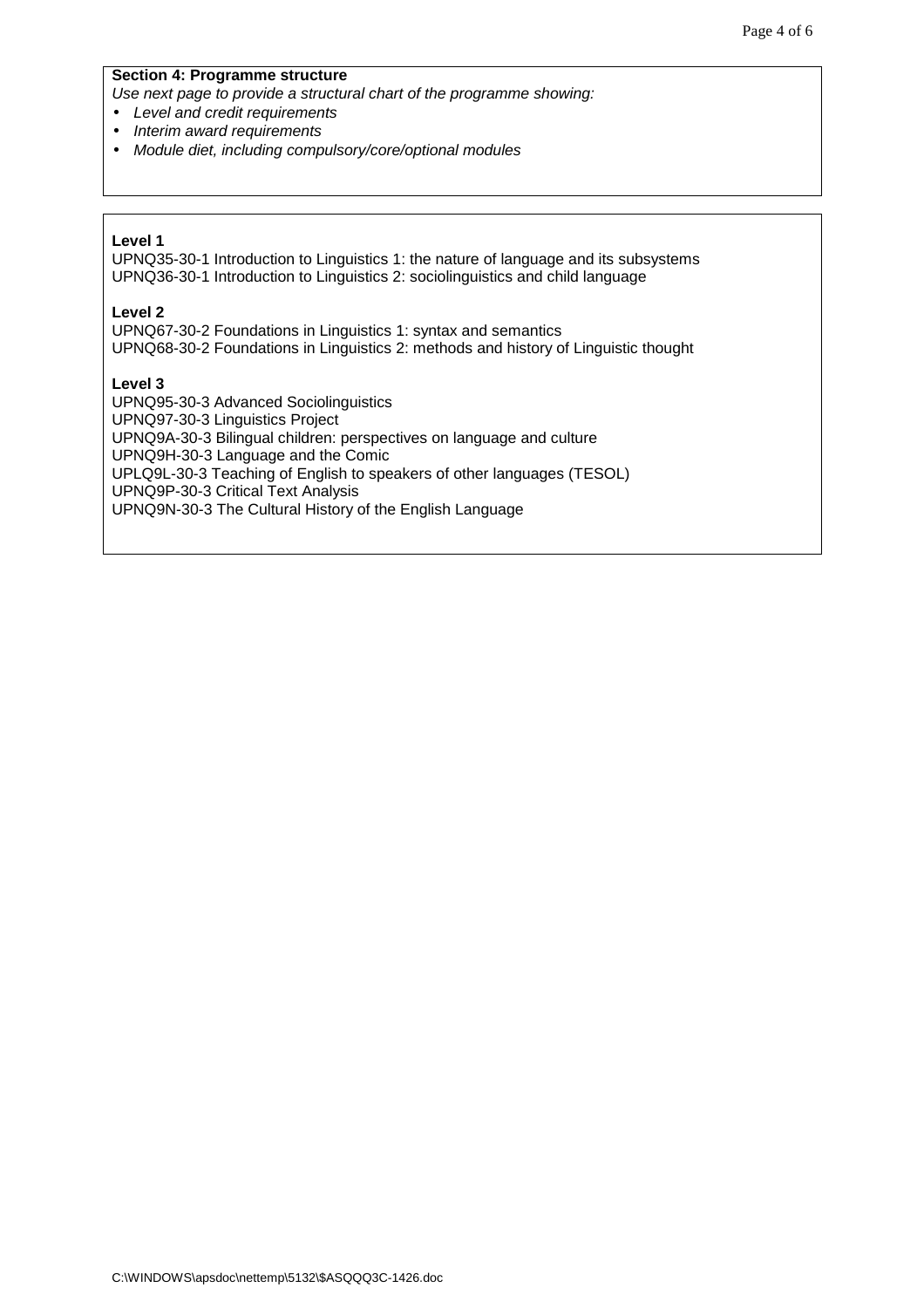#### **Section 4: Programme structure**

Use next page to provide a structural chart of the programme showing:

- Level and credit requirements
- Interim award requirements
- Module diet, including compulsory/core/optional modules

#### **Level 1**

UPNQ35-30-1 Introduction to Linguistics 1: the nature of language and its subsystems UPNQ36-30-1 Introduction to Linguistics 2: sociolinguistics and child language

#### **Level 2**

UPNQ67-30-2 Foundations in Linguistics 1: syntax and semantics UPNQ68-30-2 Foundations in Linguistics 2: methods and history of Linguistic thought

#### **Level 3**

UPNQ95-30-3 Advanced Sociolinguistics UPNQ97-30-3 Linguistics Project UPNQ9A-30-3 Bilingual children: perspectives on language and culture UPNQ9H-30-3 Language and the Comic UPLQ9L-30-3 Teaching of English to speakers of other languages (TESOL) UPNQ9P-30-3 Critical Text Analysis UPNQ9N-30-3 The Cultural History of the English Language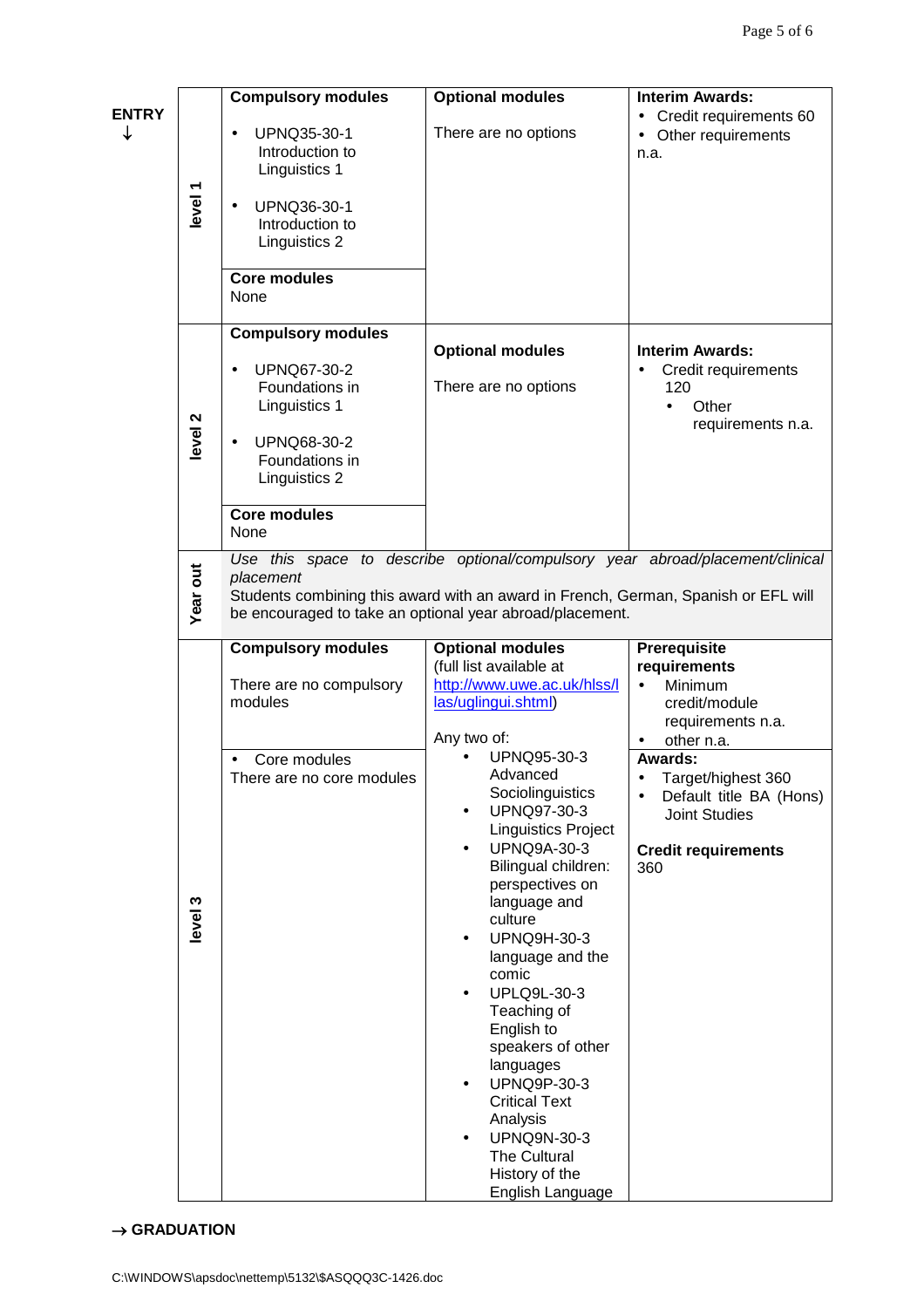| <b>ENTRY</b><br>↓ | level <sub>1</sub> | <b>Compulsory modules</b><br>UPNQ35-30-1<br>Introduction to<br>Linguistics 1<br>UPNQ36-30-1<br>Introduction to<br>Linguistics 2<br><b>Core modules</b><br>None                                                                               | <b>Optional modules</b><br>There are no options                                                                                                                                                                                                                                                                                                                                                                                                                                                                                                                                                                                                                     | <b>Interim Awards:</b><br>Credit requirements 60<br>Other requirements<br>n.a.                                                                                                                                                           |
|-------------------|--------------------|----------------------------------------------------------------------------------------------------------------------------------------------------------------------------------------------------------------------------------------------|---------------------------------------------------------------------------------------------------------------------------------------------------------------------------------------------------------------------------------------------------------------------------------------------------------------------------------------------------------------------------------------------------------------------------------------------------------------------------------------------------------------------------------------------------------------------------------------------------------------------------------------------------------------------|------------------------------------------------------------------------------------------------------------------------------------------------------------------------------------------------------------------------------------------|
|                   | level <sub>2</sub> | <b>Compulsory modules</b><br>UPNQ67-30-2<br>Foundations in<br>Linguistics 1<br>UPNQ68-30-2<br>$\bullet$<br>Foundations in<br>Linguistics 2<br><b>Core modules</b><br>None                                                                    | <b>Optional modules</b><br>There are no options                                                                                                                                                                                                                                                                                                                                                                                                                                                                                                                                                                                                                     | <b>Interim Awards:</b><br>Credit requirements<br>120<br>Other<br>$\bullet$<br>requirements n.a.                                                                                                                                          |
|                   | <b>Year out</b>    | Use this space to describe optional/compulsory year abroad/placement/clinical<br>placement<br>Students combining this award with an award in French, German, Spanish or EFL will<br>be encouraged to take an optional year abroad/placement. |                                                                                                                                                                                                                                                                                                                                                                                                                                                                                                                                                                                                                                                                     |                                                                                                                                                                                                                                          |
|                   | level 3            | <b>Compulsory modules</b><br>There are no compulsory<br>modules<br>Core modules<br>There are no core modules                                                                                                                                 | <b>Optional modules</b><br>(full list available at<br>http://www.uwe.ac.uk/hlss/l<br>las/uglingui.shtml)<br>Any two of:<br>UPNQ95-30-3<br>Advanced<br>Sociolinguistics<br>UPNQ97-30-3<br>$\bullet$<br><b>Linguistics Project</b><br><b>UPNQ9A-30-3</b><br>$\bullet$<br>Bilingual children:<br>perspectives on<br>language and<br>culture<br><b>UPNQ9H-30-3</b><br>$\bullet$<br>language and the<br>comic<br><b>UPLQ9L-30-3</b><br>$\bullet$<br>Teaching of<br>English to<br>speakers of other<br>languages<br>UPNQ9P-30-3<br>$\bullet$<br><b>Critical Text</b><br>Analysis<br><b>UPNQ9N-30-3</b><br>$\bullet$<br>The Cultural<br>History of the<br>English Language | Prerequisite<br>requirements<br>Minimum<br>credit/module<br>requirements n.a.<br>other n.a.<br><b>Awards:</b><br>Target/highest 360<br>Default title BA (Hons)<br>$\bullet$<br><b>Joint Studies</b><br><b>Credit requirements</b><br>360 |

 $\rightarrow$  GRADUATION